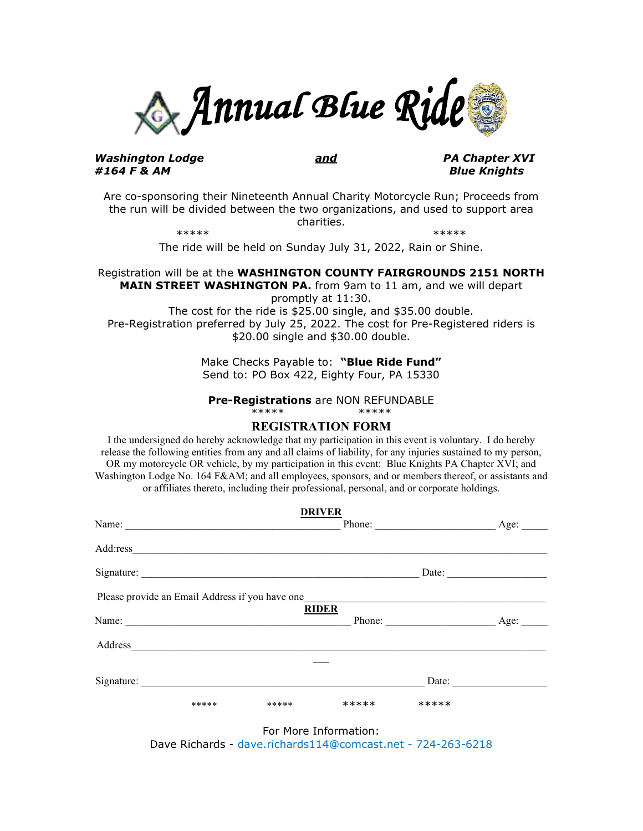

#### *Washington Lodge and PA Chapter XVI #164 F & AM Blue Knights*

Are co-sponsoring their Nineteenth Annual Charity Motorcycle Run; Proceeds from the run will be divided between the two organizations, and used to support area charities.

\*\*\*\*\* \*\*\*\*\*

The ride will be held on Sunday July 31, 2022, Rain or Shine.

#### Registration will be at the **WASHINGTON COUNTY FAIRGROUNDS 2151 NORTH MAIN STREET WASHINGTON PA.** from 9am to 11 am, and we will depart promptly at 11:30.

The cost for the ride is \$25.00 single, and \$35.00 double. Pre-Registration preferred by July 25, 2022. The cost for Pre-Registered riders is \$20.00 single and \$30.00 double.

> Make Checks Payable to: **"Blue Ride Fund"** Send to: PO Box 422, Eighty Four, PA 15330

#### **Pre-Registrations** are NON REFUNDABLE \*\*\*\*\* \*\*\*\*\*

# **REGISTRATION FORM**

I the undersigned do hereby acknowledge that my participation in this event is voluntary. I do hereby release the following entities from any and all claims of liability, for any injuries sustained to my person, OR my motorcycle OR vehicle, by my participation in this event: Blue Knights PA Chapter XVI; and Washington Lodge No. 164 F&AM; and all employees, sponsors, and or members thereof, or assistants and or affiliates thereto, including their professional, personal, and or corporate holdings.

| Name:      |                                                                            |       | <b>DRIVER</b> | Phone: | Age: |
|------------|----------------------------------------------------------------------------|-------|---------------|--------|------|
|            |                                                                            |       |               |        |      |
| Add:ress   |                                                                            |       |               |        |      |
|            | Signature:                                                                 |       |               | Date:  |      |
|            | Please provide an Email Address if you have one                            |       |               |        |      |
| Name:      |                                                                            |       | <b>RIDER</b>  |        | Age: |
|            | the control of the control of the control of the control of the control of |       |               | Phone: |      |
| Address    |                                                                            |       |               |        |      |
|            |                                                                            |       |               |        |      |
| Signature: |                                                                            |       |               | Date:  |      |
|            | *****                                                                      | ***** | *****         | *****  |      |

For More Information: Dave Richards - dave.richards114@comcast.net - 724-263-6218